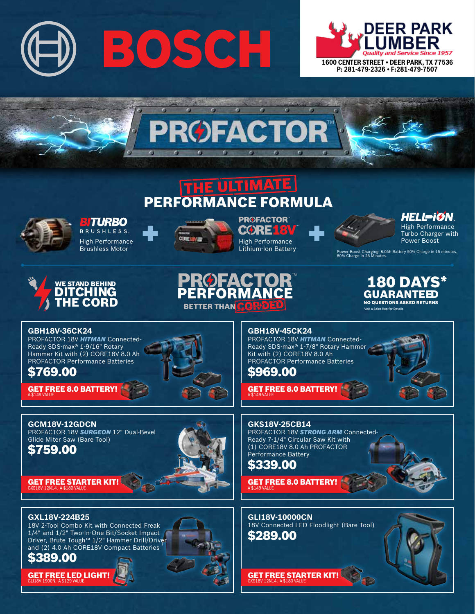



m

# THE ULTIMATE PERFORMANCE FORMULA



**BITURBO BRUSHLESS** High Performance

Brushless Motor



**PROFACTOR CØRE18** TM High Performance Lithium-Ion Battery

RMAN

*HELL<del>-</del>ïØN* High Performance Turbo Charger with Power Boost

Power Boost Charging: 8.0Ah Battery 50% Charge in 15 minutes, 80% Charge in 26 Minutes.

#### **180 DAY GUARANTEED** NO QUESTIONS ASKED RETURNS

\*Ask a Sales Rep for Detai

#### **GBH18V-36CK24**

**GCM18V-12GDCN**

\$759.00

Glide Miter Saw (Bare Tool)

PROFACTOR 18V *Hitman* Connected-Ready SDS-max® 1-9/16" Rotary Hammer Kit with (2) CORE18V 8.0 Ah PROFACTOR Performance Batteries

WE STAND BEHIND DITCHING **HE CORD** 

## \$769.00

GET FREE 8.0 BATTERY! A \$149 VALUE

PROFACTOR 18V *Surgeon* 12" Dual-Bevel



BETTER THAN CO

**GBH18V-45CK24**

PROFACTOR 18V *Hitman* Connected-Ready SDS-max® 1-7/8" Rotary Hammer Kit with (2) CORE18V 8.0 Ah PROFACTOR Performance Batteries

\$969.00

GET FREE 8.0 BATTERY! A \$149 VALUE

**GKS18V-25CB14** PROFACTOR 18V *Strong Arm* Connected-Ready 7-1/4" Circular Saw Kit with (1) CORE18V 8.0 Ah PROFACTOR Performance Battery

\$339.00

GET FREE 8.0 BATTERY! A \$149 VALUE

**GLI18V-10000CN** 18V Connected LED Floodlight (Bare Tool) \$289.00

GET FREE STARTER KIT! GXS18V-12N14. A \$180 VALUE







#### **GXL18V-224B25**

18V 2-Tool Combo Kit with Connected Freak 1/4" and 1/2" Two-In-One Bit/Socket Impact Driver, Brute Tough™ 1/2" Hammer Drill/Driver and (2) 4.0 Ah CORE18V Compact Batteries